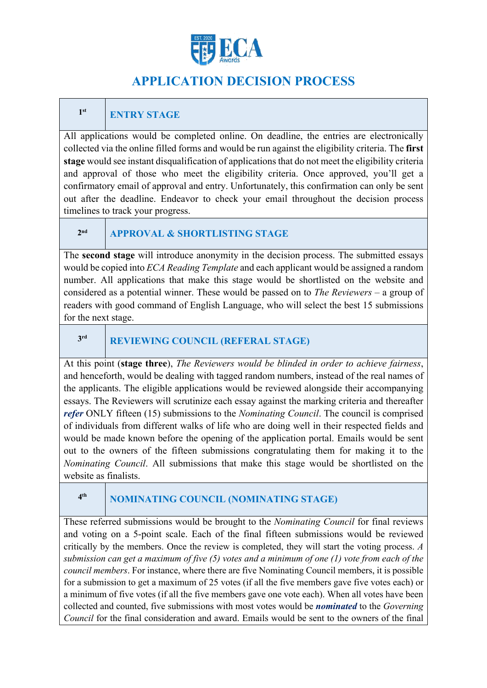

# **APPLICATION DECISION PROCESS**

#### **1st ENTRY STAGE**

All applications would be completed online. On deadline, the entries are electronically collected via the online filled forms and would be run against the eligibility criteria. The **first stage** would see instant disqualification of applications that do not meet the eligibility criteria and approval of those who meet the eligibility criteria. Once approved, you'll get a confirmatory email of approval and entry. Unfortunately, this confirmation can only be sent out after the deadline. Endeavor to check your email throughout the decision process timelines to track your progress.

#### **2nd APPROVAL & SHORTLISTING STAGE**

The **second stage** will introduce anonymity in the decision process. The submitted essays would be copied into *ECA Reading Template* and each applicant would be assigned a random number. All applications that make this stage would be shortlisted on the website and considered as a potential winner. These would be passed on to *The Reviewers* – a group of readers with good command of English Language, who will select the best 15 submissions for the next stage.

#### **3rd REVIEWING COUNCIL (REFERAL STAGE)**

At this point (**stage three**), *The Reviewers would be blinded in order to achieve fairness*, and henceforth, would be dealing with tagged random numbers, instead of the real names of the applicants. The eligible applications would be reviewed alongside their accompanying essays. The Reviewers will scrutinize each essay against the marking criteria and thereafter *refer* ONLY fifteen (15) submissions to the *Nominating Council*. The council is comprised of individuals from different walks of life who are doing well in their respected fields and would be made known before the opening of the application portal. Emails would be sent out to the owners of the fifteen submissions congratulating them for making it to the *Nominating Council*. All submissions that make this stage would be shortlisted on the website as finalists.

## **4th NOMINATING COUNCIL (NOMINATING STAGE)**

These referred submissions would be brought to the *Nominating Council* for final reviews and voting on a 5-point scale. Each of the final fifteen submissions would be reviewed critically by the members. Once the review is completed, they will start the voting process. *A submission can get a maximum of five (5) votes and a minimum of one (1) vote from each of the council members*. For instance, where there are five Nominating Council members, it is possible for a submission to get a maximum of 25 votes (if all the five members gave five votes each) or a minimum of five votes (if all the five members gave one vote each). When all votes have been collected and counted, five submissions with most votes would be *nominated* to the *Governing Council* for the final consideration and award. Emails would be sent to the owners of the final